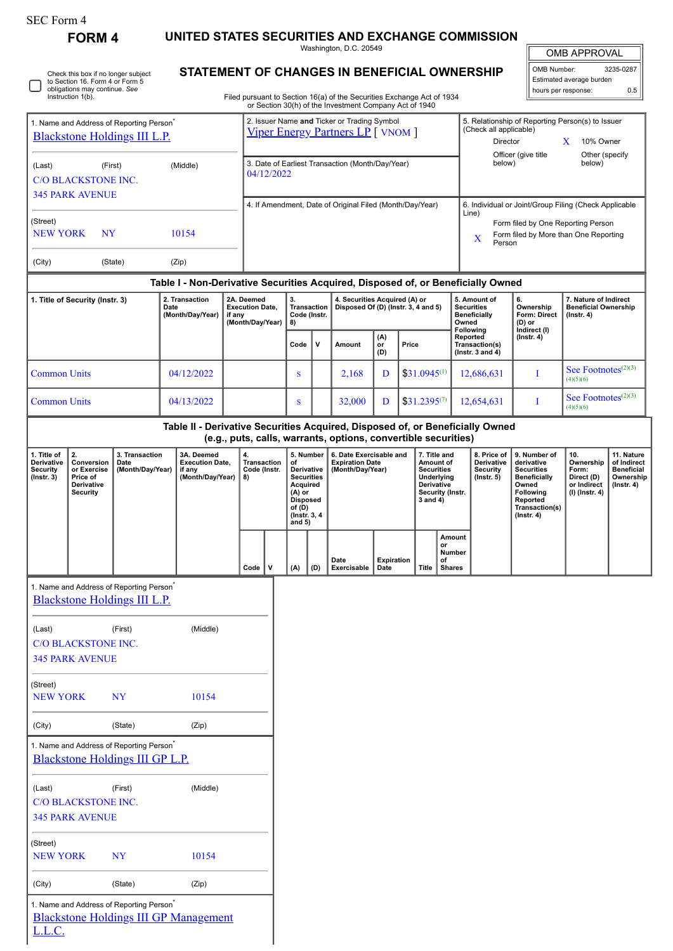| SEC Form 4 |  |
|------------|--|
|------------|--|

Check this box if no longer subject to Section 16. Form 4 or Form 5 obligations may continue. *See* Instruction 1(b).

**FORM 4 UNITED STATES SECURITIES AND EXCHANGE COMMISSION**

Washington, D.C. 20549 **STATEMENT OF CHANGES IN BENEFICIAL OWNERSHIP**

| <b>OMB APPROVAL</b>        |           |  |  |  |  |  |
|----------------------------|-----------|--|--|--|--|--|
| OMB Number:                | 3235-0287 |  |  |  |  |  |
| Estimated average burden   |           |  |  |  |  |  |
| hours per response:<br>ሰ 5 |           |  |  |  |  |  |

Filed pursuant to Section 16(a) of the Securities Exchange Act of 1934 or Section 30(h) of the Investment Company Act of 1940

| 1. Name and Address of Reporting Person <sup>7</sup><br>Blackstone Holdings III L.P.        |                                                                                                                                                 |                                                                                                      |                                            | 2. Issuer Name and Ticker or Trading Symbol<br><b>Viper Energy Partners LP</b> [ VNOM ] |                                                                |                          |                                                                      |                                                                            |     |                                                   | 5. Relationship of Reporting Person(s) to Issuer<br>(Check all applicable)<br>Director<br>10% Owner<br>X |  |                                                                                   |                                                                                            |                                                                          |                                                                                  |                                                                                                                  |                                                                          |                                |
|---------------------------------------------------------------------------------------------|-------------------------------------------------------------------------------------------------------------------------------------------------|------------------------------------------------------------------------------------------------------|--------------------------------------------|-----------------------------------------------------------------------------------------|----------------------------------------------------------------|--------------------------|----------------------------------------------------------------------|----------------------------------------------------------------------------|-----|---------------------------------------------------|----------------------------------------------------------------------------------------------------------|--|-----------------------------------------------------------------------------------|--------------------------------------------------------------------------------------------|--------------------------------------------------------------------------|----------------------------------------------------------------------------------|------------------------------------------------------------------------------------------------------------------|--------------------------------------------------------------------------|--------------------------------|
| (Middle)<br>(Last)<br>(First)<br><b>C/O BLACKSTONE INC.</b>                                 |                                                                                                                                                 |                                                                                                      |                                            |                                                                                         | 3. Date of Earliest Transaction (Month/Day/Year)<br>04/12/2022 |                          |                                                                      |                                                                            |     |                                                   |                                                                                                          |  | Other (specify<br>Officer (give title<br>below)<br>below)                         |                                                                                            |                                                                          |                                                                                  |                                                                                                                  |                                                                          |                                |
| <b>345 PARK AVENUE</b>                                                                      |                                                                                                                                                 |                                                                                                      |                                            |                                                                                         | 4. If Amendment, Date of Original Filed (Month/Day/Year)       |                          |                                                                      |                                                                            |     |                                                   |                                                                                                          |  | Line)                                                                             | 6. Individual or Joint/Group Filing (Check Applicable                                      |                                                                          |                                                                                  |                                                                                                                  |                                                                          |                                |
| (Street)<br>10154<br><b>NEW YORK</b><br>NY                                                  |                                                                                                                                                 |                                                                                                      |                                            |                                                                                         |                                                                |                          |                                                                      |                                                                            |     |                                                   |                                                                                                          |  |                                                                                   | Form filed by One Reporting Person<br>Form filed by More than One Reporting<br>X<br>Person |                                                                          |                                                                                  |                                                                                                                  |                                                                          |                                |
| (City)                                                                                      |                                                                                                                                                 | (State)                                                                                              |                                            | (Zip)                                                                                   |                                                                |                          |                                                                      |                                                                            |     |                                                   |                                                                                                          |  |                                                                                   |                                                                                            |                                                                          |                                                                                  |                                                                                                                  |                                                                          |                                |
|                                                                                             |                                                                                                                                                 |                                                                                                      |                                            |                                                                                         |                                                                |                          |                                                                      | 3.                                                                         |     |                                                   |                                                                                                          |  |                                                                                   |                                                                                            |                                                                          | Table I - Non-Derivative Securities Acquired, Disposed of, or Beneficially Owned |                                                                                                                  |                                                                          |                                |
| 1. Title of Security (Instr. 3)<br>2. Transaction<br>2A. Deemed<br>Date<br>(Month/Day/Year) |                                                                                                                                                 | if any                                                                                               | <b>Execution Date,</b><br>(Month/Day/Year) |                                                                                         | <b>Transaction</b><br>Code (Instr.<br>8)                       |                          | 4. Securities Acquired (A) or<br>Disposed Of (D) (Instr. 3, 4 and 5) |                                                                            |     |                                                   |                                                                                                          |  | 5. Amount of<br><b>Securities</b><br><b>Beneficially</b><br>Owned<br>Following    | 6.<br>Ownership<br>Form: Direct<br>(D) or<br>Indirect (I)                                  | 7. Nature of Indirect<br><b>Beneficial Ownership</b><br>$($ lnstr. 4 $)$ |                                                                                  |                                                                                                                  |                                                                          |                                |
|                                                                                             |                                                                                                                                                 |                                                                                                      |                                            |                                                                                         |                                                                |                          |                                                                      | Code                                                                       | v   | Amount                                            | (A)<br>Price<br>or<br>(D)                                                                                |  |                                                                                   | Reported<br>Transaction(s)<br>( $lnstr. 3 and 4$ )                                         |                                                                          | $($ Instr. 4 $)$                                                                 |                                                                                                                  |                                                                          |                                |
| <b>Common Units</b>                                                                         |                                                                                                                                                 |                                                                                                      |                                            | 04/12/2022                                                                              |                                                                |                          |                                                                      | S                                                                          |     | 2,168                                             | D                                                                                                        |  |                                                                                   | $$31.0945^{(1)}$                                                                           |                                                                          | 12,686,631                                                                       | I                                                                                                                | See Footnotes $(2)(3)$<br>(4)(5)(6)                                      |                                |
| <b>Common Units</b>                                                                         |                                                                                                                                                 |                                                                                                      |                                            | 04/13/2022                                                                              |                                                                |                          |                                                                      |                                                                            |     | 32,000                                            | D                                                                                                        |  | $$31.2395^{(7)}$                                                                  |                                                                                            | 12,654,631                                                               |                                                                                  | I                                                                                                                | See Footnotes $(2)(3)$<br>(4)(5)(6)                                      |                                |
|                                                                                             | Table II - Derivative Securities Acquired, Disposed of, or Beneficially Owned<br>(e.g., puts, calls, warrants, options, convertible securities) |                                                                                                      |                                            |                                                                                         |                                                                |                          |                                                                      |                                                                            |     |                                                   |                                                                                                          |  |                                                                                   |                                                                                            |                                                                          |                                                                                  |                                                                                                                  |                                                                          |                                |
| 1. Title of<br>Derivative                                                                   | 2.<br>Conversion                                                                                                                                | 3. Transaction<br>Date                                                                               |                                            | 3A. Deemed<br><b>Execution Date,</b>                                                    |                                                                | 4.<br><b>Transaction</b> |                                                                      | 5. Number<br>of                                                            |     | 6. Date Exercisable and<br><b>Expiration Date</b> |                                                                                                          |  | 7. Title and<br>Amount of                                                         |                                                                                            |                                                                          | 8. Price of<br>Derivative                                                        | 9. Number of<br>derivative                                                                                       | 10.<br>Ownership                                                         | 11. Nature<br>of Indirect      |
| <b>Security</b><br>$($ Instr. 3 $)$                                                         | or Exercise<br>Price of<br>Derivative<br><b>Security</b>                                                                                        | (Month/Day/Year)                                                                                     |                                            | if any<br>(Month/Day/Year)                                                              |                                                                | Code (Instr.<br>8)       |                                                                      | Derivative<br><b>Securities</b><br>Acquired<br>$(A)$ or<br><b>Disposed</b> |     | (Month/Day/Year)                                  |                                                                                                          |  | <b>Securities</b><br>Underlying<br>Derivative<br>Security (Instr.<br>$3$ and $4)$ |                                                                                            | <b>Security</b><br>(Instr. 5)                                            |                                                                                  | <b>Securities</b><br><b>Beneficially</b><br>Owned<br>Following<br>Reported<br>Transaction(s)<br>$($ Instr. 4 $)$ | Form:<br>Direct (D)<br>or Indirect<br>$($ Instr. 4 $)$<br>(I) (Instr. 4) | <b>Beneficial</b><br>Ownership |
|                                                                                             |                                                                                                                                                 |                                                                                                      |                                            |                                                                                         |                                                                |                          |                                                                      | of (D)<br>(Instr. 3, 4<br>and $5)$                                         |     |                                                   |                                                                                                          |  |                                                                                   |                                                                                            |                                                                          |                                                                                  |                                                                                                                  |                                                                          |                                |
|                                                                                             |                                                                                                                                                 |                                                                                                      |                                            |                                                                                         |                                                                | Code                     | v                                                                    | (A)                                                                        | (D) | Date<br>Exercisable                               | <b>Expiration</b><br>Date                                                                                |  | Title                                                                             | Amount<br>or<br>Number<br>of<br><b>Shares</b>                                              |                                                                          |                                                                                  |                                                                                                                  |                                                                          |                                |
| 1. Name and Address of Reporting Person <sup>7</sup><br><b>Blackstone Holdings III L.P.</b> |                                                                                                                                                 |                                                                                                      |                                            |                                                                                         |                                                                |                          |                                                                      |                                                                            |     |                                                   |                                                                                                          |  |                                                                                   |                                                                                            |                                                                          |                                                                                  |                                                                                                                  |                                                                          |                                |
| (Last)                                                                                      | <b>C/O BLACKSTONE INC.</b>                                                                                                                      | (First)                                                                                              |                                            | (Middle)                                                                                |                                                                |                          |                                                                      |                                                                            |     |                                                   |                                                                                                          |  |                                                                                   |                                                                                            |                                                                          |                                                                                  |                                                                                                                  |                                                                          |                                |
|                                                                                             | <b>345 PARK AVENUE</b>                                                                                                                          |                                                                                                      |                                            |                                                                                         |                                                                |                          |                                                                      |                                                                            |     |                                                   |                                                                                                          |  |                                                                                   |                                                                                            |                                                                          |                                                                                  |                                                                                                                  |                                                                          |                                |
| (Street)<br><b>NEW YORK</b>                                                                 |                                                                                                                                                 | <b>NY</b>                                                                                            |                                            | 10154                                                                                   |                                                                |                          |                                                                      |                                                                            |     |                                                   |                                                                                                          |  |                                                                                   |                                                                                            |                                                                          |                                                                                  |                                                                                                                  |                                                                          |                                |
| (City)                                                                                      |                                                                                                                                                 | (State)                                                                                              |                                            | (Zip)                                                                                   |                                                                |                          |                                                                      |                                                                            |     |                                                   |                                                                                                          |  |                                                                                   |                                                                                            |                                                                          |                                                                                  |                                                                                                                  |                                                                          |                                |
| 1. Name and Address of Reporting Person <sup>*</sup><br>Blackstone Holdings III GP L.P.     |                                                                                                                                                 |                                                                                                      |                                            |                                                                                         |                                                                |                          |                                                                      |                                                                            |     |                                                   |                                                                                                          |  |                                                                                   |                                                                                            |                                                                          |                                                                                  |                                                                                                                  |                                                                          |                                |
| (Last)                                                                                      | <b>C/O BLACKSTONE INC.</b>                                                                                                                      | (First)                                                                                              |                                            | (Middle)                                                                                |                                                                |                          |                                                                      |                                                                            |     |                                                   |                                                                                                          |  |                                                                                   |                                                                                            |                                                                          |                                                                                  |                                                                                                                  |                                                                          |                                |
| <b>345 PARK AVENUE</b>                                                                      |                                                                                                                                                 |                                                                                                      |                                            |                                                                                         |                                                                |                          |                                                                      |                                                                            |     |                                                   |                                                                                                          |  |                                                                                   |                                                                                            |                                                                          |                                                                                  |                                                                                                                  |                                                                          |                                |
| (Street)<br><b>NEW YORK</b>                                                                 |                                                                                                                                                 | <b>NY</b>                                                                                            |                                            | 10154                                                                                   |                                                                |                          |                                                                      |                                                                            |     |                                                   |                                                                                                          |  |                                                                                   |                                                                                            |                                                                          |                                                                                  |                                                                                                                  |                                                                          |                                |
| (City)                                                                                      |                                                                                                                                                 | (State)                                                                                              |                                            | (Zip)                                                                                   |                                                                |                          |                                                                      |                                                                            |     |                                                   |                                                                                                          |  |                                                                                   |                                                                                            |                                                                          |                                                                                  |                                                                                                                  |                                                                          |                                |
| L.L.C.                                                                                      |                                                                                                                                                 | 1. Name and Address of Reporting Person <sup>*</sup><br><b>Blackstone Holdings III GP Management</b> |                                            |                                                                                         |                                                                |                          |                                                                      |                                                                            |     |                                                   |                                                                                                          |  |                                                                                   |                                                                                            |                                                                          |                                                                                  |                                                                                                                  |                                                                          |                                |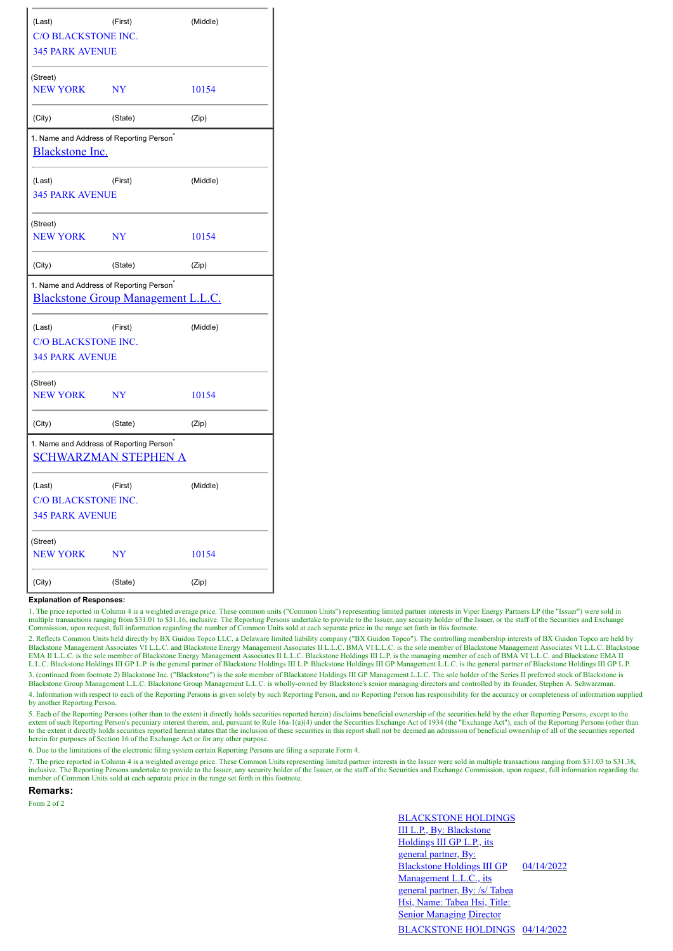| (Last)                                               | (First)                     | (Middle) |  |
|------------------------------------------------------|-----------------------------|----------|--|
| <b>C/O BLACKSTONE INC.</b>                           |                             |          |  |
| <b>345 PARK AVENUE</b>                               |                             |          |  |
| (Street)                                             |                             |          |  |
| <b>NEW YORK</b>                                      | <b>NY</b>                   | 10154    |  |
| (City)                                               | (State)                     | (Zip)    |  |
| 1. Name and Address of Reporting Person <sup>*</sup> |                             |          |  |
| <b>Blackstone Inc.</b>                               |                             |          |  |
| (Last)                                               | (First)                     | (Middle) |  |
| <b>345 PARK AVENUE</b>                               |                             |          |  |
| (Street)                                             |                             |          |  |
| <b>NEW YORK</b>                                      | <b>NY</b>                   | 10154    |  |
| (City)                                               | (State)                     | (Zip)    |  |
| 1. Name and Address of Reporting Person <sup>*</sup> |                             |          |  |
| Blackstone Group Management L.L.C.                   |                             |          |  |
| (Last)                                               | (First)                     | (Middle) |  |
| C/O BLACKSTONE INC.                                  |                             |          |  |
| <b>345 PARK AVENUE</b>                               |                             |          |  |
| (Street)                                             |                             |          |  |
| <b>NEW YORK</b>                                      | <b>NY</b>                   | 10154    |  |
| (City)                                               | (State)                     | (Zip)    |  |
| 1. Name and Address of Reporting Person <sup>®</sup> |                             |          |  |
|                                                      | <b>SCHWARZMAN STEPHEN A</b> |          |  |
| (Last)                                               | (First)                     | (Middle) |  |
| <b>C/O BLACKSTONE INC.</b>                           |                             |          |  |
| <b>345 PARK AVENUE</b>                               |                             |          |  |
| (Street)                                             |                             |          |  |
| <b>NEW YORK</b>                                      | <b>NY</b>                   | 10154    |  |
| (City)                                               | (State)                     | (Zip)    |  |

## **Explanation of Responses:**

1. The price reported in Column 4 is a weighted average price. These common units ("Common Units") representing limited partner interests in Viper Energy Partners LP (the "Issuer") were sold in multiple transactions ranging from \$31.01 to \$31.16, inclusive. The Reporting Persons undertake to provide to the Issuer, any security holder of the Issuer, or the staff of the Securities and Exchange Commission, upon requ

2. Reflects Common Units held directly by BX Guidon Topco LLC, a Delaware limited liability company ("BX Guidon Topco"). The controlling membership interests of BX Guidon Topco are held by<br>Blackstone Management Associates EMA II L.L.C. is the sole member of Blackstone Energy Management Associates II L.L.C. Blackstone Holdings III L.P. is the managing member of each of BMA VI L.L.C. and Blackstone EMA II L.L.C. Blackstone Holdings III GP L.P. is the general partner of Blackstone Holdings III L.P. Blackstone Holdings III GP Management L.L.C. is the general partner of Blackstone Holdings III GP L.P. 3. (continued from footnote 2) Blackstone Inc. ("Blackstone") is the sole member of Blackstone Holdings III GP Management L.L.C. The sole holder of the Series II preferred stock of Blackstone is

Blackstone Group Management L.L.C. Blackstone Group Management L.L.C. is wholly-owned by Blackstone's senior managing directors and controlled by its founder, Stephen A. Schwarzman.

4. Information with respect to each of the Reporting Persons is given solely by such Reporting Person, and no Reporting Person has responsibility for the accuracy or completeness of information supplied by another Reporting Person.

5. Each of the Reporting Persons (other than to the extent it directly holds securities reported herein) disclaims beneficial ownership of the securities held by the other Reporting Persons, except to the extent of such Reporting Person's pecuniary interest therein, and, pursuant to Rule 16a-1(a)(4) under the Securities Exchange Act of 1934 (the "Exchange Act"), each of the Reporting Persons (other than the Reporting Person to the extent it directly holds securities reported herein) states that the inclusion of these securities in this report shall not be deemed an admission of beneficial ownership of all of the securities reported herein for purposes of Section 16 of the Exchange Act or for any other purpose.

6. Due to the limitations of the electronic filing system certain Reporting Persons are filing a separate Form 4.

7. The price reported in Column 4 is a weighted average price. These Common Units representing limited partner interests in the Issuer were sold in multiple transactions ranging from \$31.03 to \$31.38, inclusive. The Reporting Persons undertake to provide to the Issuer, any security holder of the Issuer, or the staff of the Securities and Exchange Commission, upon request, full information regarding the number of Common Units sold at each separate price in the range set forth in this footnote.

**Remarks:**

Form 2 of 2

BLACKSTONE HOLDINGS III L.P., By: Blackstone Holdings III GP L.P., its general partner, By: Blackstone Holdings III GP Management L.L.C., its general partner, By: /s/ Tabea Hsi, Name: Tabea Hsi, Title: **Senior Managing Director** 04/14/2022 BLACKSTONE HOLDINGS 04/14/2022